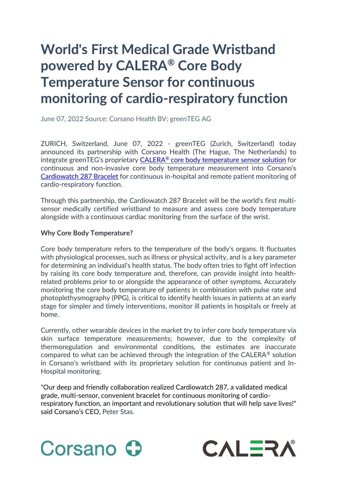# **World's First Medical Grade Wristband powered by CALERA® Core Body Temperature Sensor for continuous monitoring of cardio-respiratory function**

June 07, 2022 Source: Corsano Health BV; greenTEG AG

ZURICH, Switzerland, June 07, 2022 - greenTEG (Zurich, Switzerland) today announced its partnership with Corsano Health (The Hague, The Netherlands) to integrate greenTEG's proprietary CALERA® [core body temperature sensor solution](https://www.greenteg.com/products/calera-development-kit/) for continuous and non-invasive core body temperature measurement into Corsano's [Cardiowatch 287 Bracelet](https://corsano.com/products/bracelet-2/) for continuous in-hospital and remote patient monitoring of cardio-respiratory function.

Through this partnership, the Cardiowatch 287 Bracelet will be the world's first multisensor medically certified wristband to measure and assess core body temperature alongside with a continuous cardiac monitoring from the surface of the wrist.

### **Why Core Body Temperature?**

Core body temperature refers to the temperature of the body's organs. It fluctuates with physiological processes, such as illness or physical activity, and is a key parameter for determining an individual's health status. The body often tries to fight off infection by raising its core body temperature and, therefore, can provide insight into healthrelated problems prior to or alongside the appearance of other symptoms. Accurately monitoring the core body temperature of patients in combination with pulse rate and photoplethysmography (PPG), is critical to identify health issues in patients at an early stage for simpler and timely interventions, monitor ill patients in hospitals or freely at home.

Currently, other wearable devices in the market try to infer core body temperature via skin surface temperature measurements; however, due to the complexity of thermoregulation and environmental conditions, the estimates are inaccurate compared to what can be achieved through the integration of the CALERA® solution in Corsano's wristband with its proprietary solution for continuous patient and In-Hospital monitoring.

"Our deep and friendly collaboration realized Cardiowatch 287, a validated medical grade, multi-sensor, convenient bracelet for continuous monitoring of cardiorespiratory function, an important and revolutionary solution that will help save lives!" said Corsano's CEO, Peter Stas.



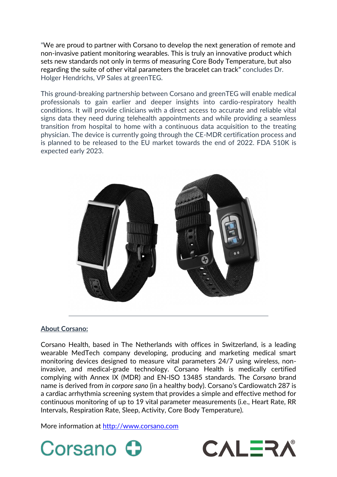"We are proud to partner with Corsano to develop the next generation of remote and non-invasive patient monitoring wearables. This is truly an innovative product which sets new standards not only in terms of measuring Core Body Temperature, but also regarding the suite of other vital parameters the bracelet can track" concludes Dr. Holger Hendrichs, VP Sales at greenTEG.

This ground-breaking partnership between Corsano and greenTEG will enable medical professionals to gain earlier and deeper insights into cardio-respiratory health conditions. It will provide clinicians with a direct access to accurate and reliable vital signs data they need during telehealth appointments and while providing a seamless transition from hospital to home with a continuous data acquisition to the treating physician. The device is currently going through the CE-MDR certification process and is planned to be released to the EU market towards the end of 2022. FDA 510K is expected early 2023.



#### **About Corsano:**

Corsano Health, based in The Netherlands with offices in Switzerland, is a leading wearable MedTech company developing, producing and marketing medical smart monitoring devices designed to measure vital parameters 24/7 using wireless, noninvasive, and medical-grade technology. Corsano Health is medically certified complying with Annex IX (MDR) and EN-ISO 13485 standards. The *Corsano* brand name is derived from *in corpore sano* (in a healthy body). Corsano's Cardiowatch 287 is a cardiac arrhythmia screening system that provides a simple and effective method for continuous monitoring of up to 19 vital parameter measurements (i.e., Heart Rate, RR Intervals, Respiration Rate, Sleep, Activity, Core Body Temperature).

More information at [http://www.corsano.com](http://www.corsano.com/)